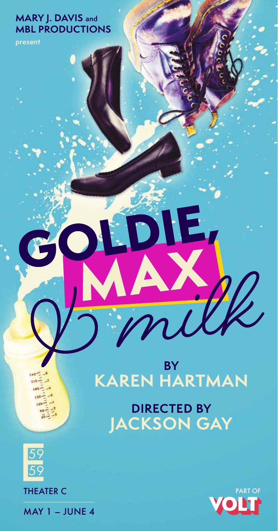# **MARY J. DAVIS and MBL PRODUCTIONS**

**present**

# **BY KAREN HARTMAN**  $\frac{1}{2}$  milk

**GOLDIE,**

**DIRECTED BY JACKSON GAY** 



THEATER C

 $MAY 1 - JUNE 4$ 

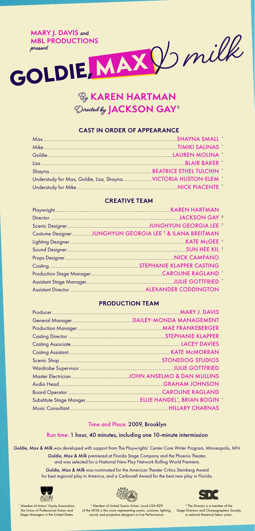

# By **KAREN HARTMAN** Directed by **JACKSON GAY**<sup>ß</sup>

#### **CAST IN ORDER OF APPEARANCE**

#### **CREATIVE TEAM**

#### **PRODUCTION TEAM**

#### Time and Place: 2009, Brooklyn

#### Run time: 1 hour, 40 minutes, including one 10-minute intermission

*Goldie, Max & Milk* was developed with support from The Playwrights' Center Core Writer Program, Minneapolis, MN.

*Goldie, Max & Milk* premiered at Florida Stage Company and the Phoenix Theater, and was selected for a National New Play Network Rolling World Premiere.

*Goldie, Max & Milk* was nominated for the American Theater Critics Steinberg Award for best regional play in America, and a Carbonell Award for the best new play in Florida.





2) C ß The Director is a member of the

\* Member of Actors' Equity Association, the Union of Professional Actors and Stage Managers in the United States.

† Member of United Scenic Artists. Local USA 829 of the IATSE is the union representing scenic, costume, lighting, sound, and projection designers in Live Performance. Stage Directors and Choreographers Society, a national theatrical labor union.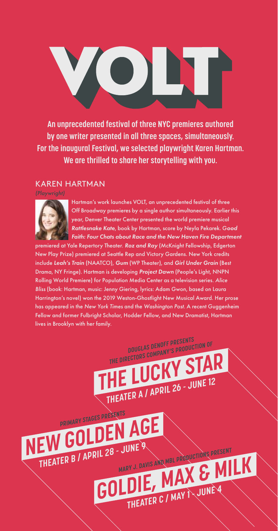**An unprecedented festival of three NYC premieres authored by one writer presented in all three spaces, simultaneously. For the inaugural Festival, we selected playwright Karen Hartman. We are thrilled to share her storytelling with you.**

# KAREN HARTMAN

*(Playwright)*



Hartman's work launches VOLT, an unprecedented festival of three Off Broadway premieres by a single author simultaneously. Earlier this year, Denver Theater Center presented the world premiere musical *Rattlesnake Kate*, book by Hartman, score by Neyla Pekarek. G*ood Faith: Four Chats about Race and the New Haven Fire Department*

**E LUCKY ST** 

**DOUGLAS DENOFF PRESENTS THE DIRECTORS COMPANY'S PRODUCTION OF**

**THEATER A / APRIL 26 - JUNE 12**

**GOLDIE, MAX & M** 

**MARY J. DAVIS AND MBL PRODUCTIONS PRESENT**

premiered at Yale Repertory Theater. *Roz and Ray* (McKnight Fellowship, Edgerton New Play Prize) premiered at Seattle Rep and Victory Gardens. New York credits include *Leah's Train* (NAATCO), *Gum* (WP Theater), and *Girl Under Grain* (Best Drama, NY Fringe). Hartman is developing *Project Dawn* (People's Light, NNPN Rolling World Premiere) for Population Media Center as a television series. *Alice Bliss* (book: Hartman, music: Jenny Giering, lyrics: Adam Gwon, based on Laura Harrington's novel) won the 2019 Weston-Ghostlight New Musical Award. Her prose has appeared in the *New York Times* and the *Washington Post*. A recent Guggenheim Fellow and former Fulbright Scholar, Hodder Fellow, and New Dramatist, Hartman lives in Brooklyn with her family.

**NEW GOLDEN AGE**

**PRIMARY STAGES PRESENTS**

**THEATER B / APRIL 28 - JUNE 9**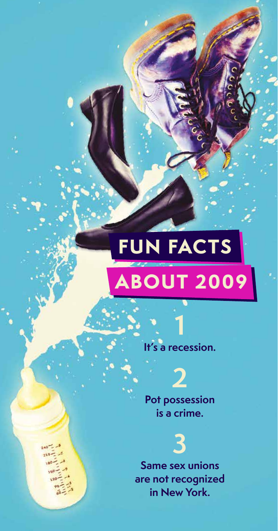# **ABOUT 2009 FUN FACTS**

**It's a recession.** 

**1**

**Pot possession is a crime.** 

**2**

**3 Same sex unions are not recognized in New York.**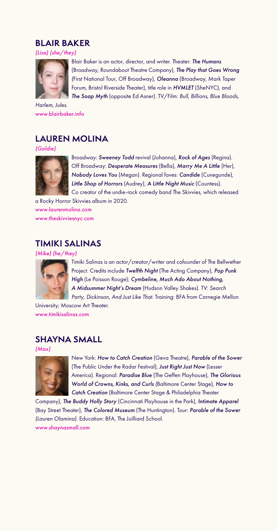# **BLAIR BAKER**

*(Lisa) (she/they)*



Blair Baker is an actor, director, and writer. Theater: **The Humans** (Broadway, Roundabout Theatre Company), *The Play that Goes Wrong (*First National Tour, Off Broadway), *Oleanna* (Broadway, Mark Taper Forum, Bristol Riverside Theater), title role in *HVMLET* (SheNYC), and *The Soap Myth* (opposite Ed Asner). TV/Film: *Bull, Billions*, *Blue Bloods*,

*Harlem*, *Jules*. www.blairbaker.info

# **LAUREN MOLINA**

*(Goldie)*



Broadway: *Sweeney Todd* revival (Johanna), *Rock of Ages* (Regina). Off Broadway: *Desperate Measures* (Bella), *Marry Me A Little* (Her), *Nobody Loves You* (Megan). Regional faves: *Candide* (Cunegunde), *Little Shop of Horrors* (Audrey), *A Little Night Music* (Countess). Co creator of the undie-rock comedy band The Skivvies, which released

a Rocky Horror Skivvies album in 2020. www.laurenmolina.com www.theskivviesnyc.com

# **TIMIKI SALINAS**

*(Mike) (he/they)*



Timiki Salinas is an actor/creator/writer and cofounder of The Bellwether Project. Credits include *Twelfth Night* (The Acting Company), *Pop Punk High* (Le Poisson Rouge); *Cymbeline*, *Much Ado About Nothing*, *A Midsummer Night's Dream* (Hudson Valley Shakes). TV: *Search Party*, *Dickinson*, *And Just Like That*. Training: BFA from Carnegie Mellon

University; Moscow Art Theater. www.timikisalinas.com

# **SHAYNA SMALL**

*(Max)*



New York: *How to Catch Creation* (Geva Theatre), *Parable of the Sower* (The Public Under the Radar Festival), *Just Right Just Now* (Lesser America). Regional: *Paradise Blue* (The Geffen Playhouse), *The Glorious World of Crowns, Kinks, and Curls (*Baltimore Center Stage), *How to Catch Creation* (Baltimore Center Stage & Philadelphia Theater

Company), *The Buddy Holly Story* (Cincinnati Playhouse in the Park), *Intimate Apparel*  (Bay Street Theater), *The Colored Museum* (The Huntington). Tour: *Parable of the Sower (Lauren Olamina).* Education: BFA, The Juilliard School. www.shaynasmall.com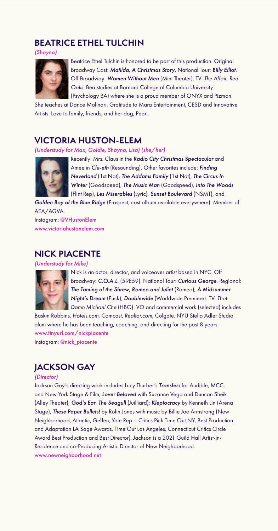# **BEATRICE ETHEL TULCHIN**

*(Shayna)*



Beatrice Ethel Tulchin is honored to be part of this production. Original Broadway Cast: *Matilda*, *A Christmas Story*. National Tour: *Billy Elliot*. Off Broadway: *Women Without Men* (Mint Theater). TV: *The Affair, Red Oaks*. Bea studies at Barnard College of Columbia University (Psychology BA) where she is a proud member of ONYX and Pizmon.

She teaches at Dance Molinari. Gratitude to Mara Entertainment, CESD and Innovative Artists. Love to family, friends, and her dog, Pearl.

# **VICTORIA HUSTON-ELEM**

*(Understudy for Max, Goldie, Shayna, Lisa) (she/her)*



Recently: Mrs. Claus in the *Radio City Christmas Spectacular* and Amee in *Clu-eth* (Resounding). Other favorites include: *Finding Neverland* (1st Nat), *The Addams Family* (1st Nat), *The Circus In Winter* (Goodspeed), *The Music Man* (Goodspeed), *Into The Woods* (Flint Rep), *Les Miserables* (Lyric), *Sunset Boulevard* (NSMT), and

*Golden Boy of the Blue Ridge* (Prospect, cast album available everywhere). Member of AEA/AGVA.

Instagram: @VHustonElem www.victoriahustonelem.com

# **NICK PIACENTE**

*(Understudy for Mike)*



Nick is an actor, director, and voiceover artist based in NYC. Off Broadway: *C.O.A.L.* (59E59). National Tour: *Curious George*. Regional: *The Taming of the Shrew*, *Romeo and Juliet* (Romeo), *A Midsummer Night's Dream* (Puck)*, Doublewide* (Worldwide Premiere). TV: *That Damn Michael Che* (HBO). VO and commercial work (selected) includes

Baskin Robbins, *Hotels.com*, Comcast, *Realtor.com*, Colgate. NYU Stella Adler Studio alum where he has been teaching, coaching, and directing for the past 8 years. www.tinyurl.com/nickpiacente Instagram: @nick\_piacente

# **JACKSON GAY**

#### *(Director)*

Jackson Gay's directing work includes Lucy Thurber's *Transfers* for Audible, MCC, and New York Stage & Film; *Lover Beloved* with Suzanne Vega and Duncan Sheik (Alley Theater); *God's Ear*, *The Seagull* (Juilliard); *Kleptocracy* by Kenneth Lin (Arena Stage), *These Paper Bullets!* by Rolin Jones with music by Billie Joe Armstrong (New Neighborhood, Atlantic, Geffen, Yale Rep – Critics Pick Time Out NY, Best Production and Adaptation LA Sage Awards, Time Out Los Angeles, Connecticut Critics Circle Award Best Production and Best Director). Jackson is a 2021 Guild Hall Artist-in-Residence and co-Producing Artistic Director of New Neighborhood. www.newneighborhood.net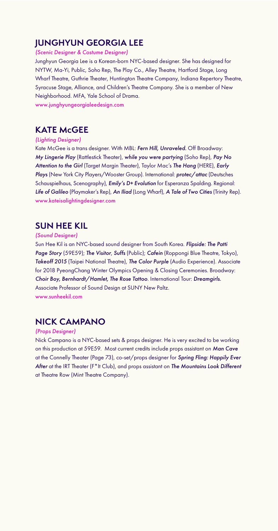# **JUNGHYUN GEORGIA LEE**

*(Scenic Designer & Costume Designer)*

Junghyun Georgia Lee is a Korean-born NYC-based designer. She has designed for NYTW, Ma-Yi, Public, Soho Rep, The Play Co., Alley Theatre, Hartford Stage, Long Wharf Theatre, Guthrie Theater, Huntington Theatre Company, Indiana Repertory Theatre, Syracuse Stage, Alliance, and Children's Theatre Company. She is a member of New Neighborhood. MFA, Yale School of Drama. www.junghyungeorgialeedesign.com

# **KATE McGEE**

#### *(Lighting Designer)*

Kate McGee is a trans designer. With MBL: *Fern Hill, Unraveled.* Off Broadway: *My Lingerie Play* (Rattlestick Theater), *while you were partying* (Soho Rep), *Pay No Attention to the Girl* (Target Margin Theater), Taylor Mac's *The Hang* (HERE), *Early Plays* (New York City Players/Wooster Group). International: *protec/attac* (Deutsches Schauspielhaus, Scenography), *Emily's D+ Evolution* for Esperanza Spalding. Regional: *Life of Galileo* (Playmaker's Rep), *An Iliad* (Long Wharf), *A Tale of Two Cities* (Trinity Rep). www.kateisalightingdesigner.com

# **SUN HEE KIL**

#### *(Sound Designer)*

Sun Hee Kil is an NYC-based sound designer from South Korea. *Flipside: The Patti Page Story* (59E59); *The Visitor*, *Suffs* (Public); *Cafein* (Roppongi Blue Theatre, Tokyo), *Takeoff 2015* (Taipei National Theatre), *The Color Purple* (Audio Experience). Associate for 2018 PyeongChang Winter Olympics Opening & Closing Ceremonies. Broadway: *Choir Boy, Bernhardt/Hamlet, The Rose Tattoo*. International Tour: *Dreamgirls.* Associate Professor of Sound Design at SUNY New Paltz. www.sunheekil.com

# **NICK CAMPANO**

#### *(Props Designer)*

Nick Campano is a NYC-based sets & props designer. He is very excited to be working on this production at 59E59. Most current credits include props assistant on *Man Cave*  at the Connelly Theater (Page 73), co-set/props designer for *Spring Fling: Happily Ever After* at the IRT Theater (F\*It Club), and props assistant on *The Mountains Look Different* at Theatre Row (Mint Theatre Company).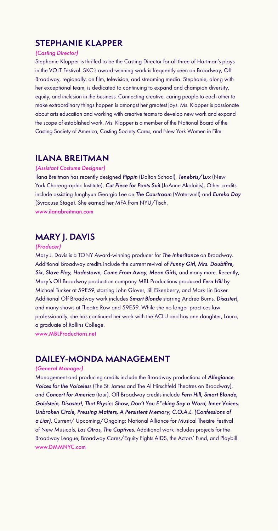# **STEPHANIE KLAPPER**

#### *(Casting Director)*

Stephanie Klapper is thrilled to be the Casting Director for all three of Hartman's plays in the VOLT Festival. SKC's award-winning work is frequently seen on Broadway, Off Broadway, regionally, on film, television, and streaming media. Stephanie, along with her exceptional team, is dedicated to continuing to expand and champion diversity, equity, and inclusion in the business. Connecting creative, caring people to each other to make extraordinary things happen is amongst her greatest joys. Ms. Klapper is passionate about arts education and working with creative teams to develop new work and expand the scope of established work. Ms. Klapper is a member of the National Board of the Casting Society of America, Casting Society Cares, and New York Women in Film.

## **ILANA BREITMAN**

#### *(Assistant Costume Designer)*

Ilana Breitman has recently designed *Pippin* (Dalton School), *Tenebris/Lux* (New York Choreographic Institute), *Cut Piece for Pants Suit* (JoAnne Akalaitis). Other credits include assisting Junghyun Georgia Lee on *The Courtroom* (Waterwell) and *Eureka Day* (Syracuse Stage). She earned her MFA from NYU/Tisch. www.ilanabreitman.com

# **MARY J. DAVIS**

#### *(Producer)*

Mary J. Davis is a TONY Award-winning producer for *The Inheritance* on Broadway. Additional Broadway credits include the current revival of *Funny Girl, Mrs. Doubtfire, Six, Slave Play, Hadestown, Come From Away, Mean Girls,* and many more. Recently, Mary's Off Broadway production company MBL Productions produced *Fern Hill* by Michael Tucker at 59E59, starring John Glover, Jill Eikenberry, and Mark Lin Baker. Additional Off Broadway work includes *Smart Blonde* starring Andrea Burns, *Disaster!*, and many shows at Theatre Row and 59E59. While she no longer practices law professionally, she has continued her work with the ACLU and has one daughter, Laura, a graduate of Rollins College.

www.MBLProductions.net

# **DAILEY-MONDA MANAGEMENT**

#### *(General Manager)*

Management and producing credits include the Broadway productions of *Allegiance*, *Voices for the Voiceles*s (The St. James and The Al Hirschfeld Theatres on Broadway), and *Concert for America* (tour). Off Broadway credits include *Fern Hill, Smart Blonde, Goldstein, Disaster!, That Physics Show, Don't You F\*cking Say a Word, Inner Voices, Unbroken Circle, Pressing Matters, A Persistent Memory, C.O.A.L. (Confessions of a Liar)*. Current/ Upcoming/Ongoing: National Alliance for Musical Theatre Festival of New Musicals, *Los Otros, The Captives*. Additional work includes projects for the Broadway League, Broadway Cares/Equity Fights AIDS, the Actors' Fund, and Playbill. www.DMMNYC.com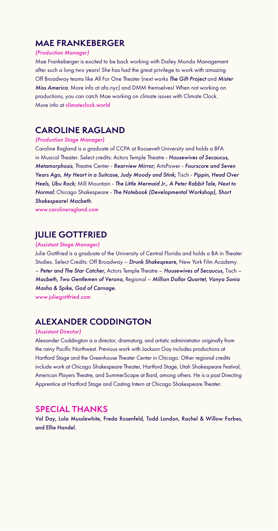# **MAE FRANKEBERGER**

#### *(Production Manager)*

Mae Frankeberger is excited to be back working with Dailey Monda Management after such a long two years! She has had the great privilege to work with amazing Off Broadway teams like All For One Theater (next works *The Gift Project* and *Mister Miss America*. More info at afo.nyc) and DMM themselves! When not working on productions, you can catch Mae working on climate issues with Climate Clock. More info at climateclock.world

# **CAROLINE RAGLAND**

#### *(Production Stage Manager)*

Caroline Ragland is a graduate of CCPA at Roosevelt University and holds a BFA in Musical Theater. Select credits: Actors Temple Theatre - *Housewives of Secaucus, Metamorphosis*; Theatre Center - *Rearview Mirror*; ArtsPower - *Fourscore and Seven Years Ago, My Heart in a Suitcase, Judy Moody and Stink;* Tisch - *Pippin, Head Over Heels, Ubu Rock;* Mill Mountain - *The Little Mermaid Jr., A Peter Rabbit Tale, Next to Normal*; Chicago Shakespeare - *The Notebook (Developmental Workshop), Short Shakespeare! Macbeth*.

www.carolineragland.com

# **JULIE GOTTFRIED**

#### *(Assistant Stage Manager)*

Julie Gottfried is a graduate of the University of Central Florida and holds a BA in Theater Studies. Select Credits: Off Broadway – *Drunk Shakespeare,* New York Film Academy – *Peter and The Star Catcher,* Actors Temple Theatre – *Housewives of Secaucus*, Tisch – *Macbeth, Two Gentlemen of Verona*, Regional – *Million Dollar Quartet, Vanya Sonia Masha & Spike, God of Carnage.*

www.juliegottfried.com

# **ALEXANDER CODDINGTON**

#### *(Assistant Director)*

Alexander Coddington is a director, dramaturg, and artistic administrator originally from the rainy Pacific Northwest. Previous work with Jackson Gay includes productions at Hartford Stage and the Greenhouse Theater Center in Chicago. Other regional credits include work at Chicago Shakespeare Theater, Hartford Stage, Utah Shakespeare Festival, American Players Theatre, and SummerScape at Bard, among others. He is a past Directing Apprentice at Hartford Stage and Casting Intern at Chicago Shakespeare Theater.

## **SPECIAL THANKS**

Val Day, Lola Musslewhite, Freda Rosenfeld, Todd London, Rachel & Willow Forbes, and Ellie Handel.